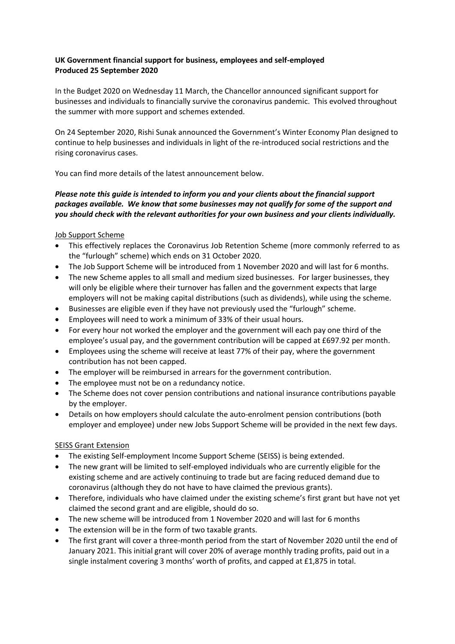## **UK Government financial support for business, employees and self-employed Produced 25 September 2020**

In the Budget 2020 on Wednesday 11 March, the Chancellor announced significant support for businesses and individuals to financially survive the coronavirus pandemic. This evolved throughout the summer with more support and schemes extended.

On 24 September 2020, Rishi Sunak announced the Government's Winter Economy Plan designed to continue to help businesses and individuals in light of the re-introduced social restrictions and the rising coronavirus cases.

You can find more details of the latest announcement below.

## *Please note this guide is intended to inform you and your clients about the financial support packages available. We know that some businesses may not qualify for some of the support and you should check with the relevant authorities for your own business and your clients individually.*

### Job Support Scheme

- This effectively replaces the Coronavirus Job Retention Scheme (more commonly referred to as the "furlough" scheme) which ends on 31 October 2020.
- The Job Support Scheme will be introduced from 1 November 2020 and will last for 6 months.
- The new Scheme apples to all small and medium sized businesses. For larger businesses, they will only be eligible where their turnover has fallen and the government expects that large employers will not be making capital distributions (such as dividends), while using the scheme.
- Businesses are eligible even if they have not previously used the "furlough" scheme.
- Employees will need to work a minimum of 33% of their usual hours.
- For every hour not worked the employer and the government will each pay one third of the employee's usual pay, and the government contribution will be capped at £697.92 per month.
- Employees using the scheme will receive at least 77% of their pay, where the government contribution has not been capped.
- The employer will be reimbursed in arrears for the government contribution.
- The employee must not be on a redundancy notice.
- The Scheme does not cover pension contributions and national insurance contributions payable by the employer.
- Details on how employers should calculate the auto-enrolment pension contributions (both employer and employee) under new Jobs Support Scheme will be provided in the next few days.

## SEISS Grant Extension

- The existing Self-employment Income Support Scheme (SEISS) is being extended.
- The new grant will be limited to self-employed individuals who are currently eligible for the existing scheme and are actively continuing to trade but are facing reduced demand due to coronavirus (although they do not have to have claimed the previous grants).
- Therefore, individuals who have claimed under the existing scheme's first grant but have not yet claimed the second grant and are eligible, should do so.
- The new scheme will be introduced from 1 November 2020 and will last for 6 months
- The extension will be in the form of two taxable grants.
- The first grant will cover a three-month period from the start of November 2020 until the end of January 2021. This initial grant will cover 20% of average monthly trading profits, paid out in a single instalment covering 3 months' worth of profits, and capped at £1,875 in total.